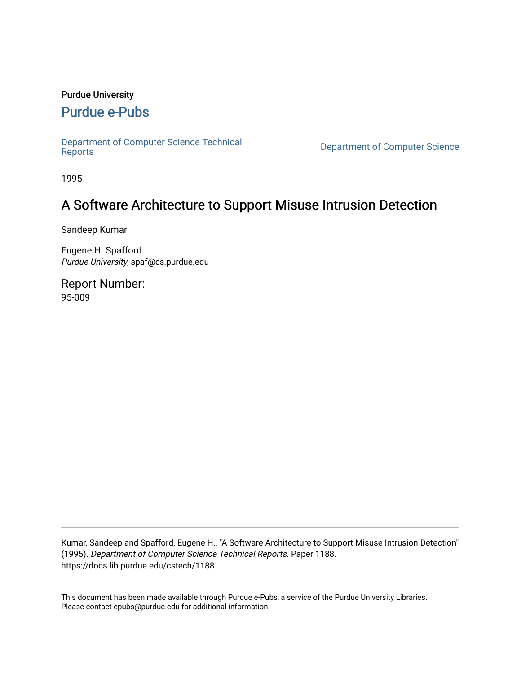### Purdue University

## [Purdue e-Pubs](https://docs.lib.purdue.edu/)

[Department of Computer Science Technical](https://docs.lib.purdue.edu/cstech) 

**Department of Computer Science** 

1995

# A Software Architecture to Support Misuse Intrusion Detection

Sandeep Kumar

Eugene H. Spafford Purdue University, spaf@cs.purdue.edu

Report Number: 95-009

Kumar, Sandeep and Spafford, Eugene H., "A Software Architecture to Support Misuse Intrusion Detection" (1995). Department of Computer Science Technical Reports. Paper 1188. https://docs.lib.purdue.edu/cstech/1188

This document has been made available through Purdue e-Pubs, a service of the Purdue University Libraries. Please contact epubs@purdue.edu for additional information.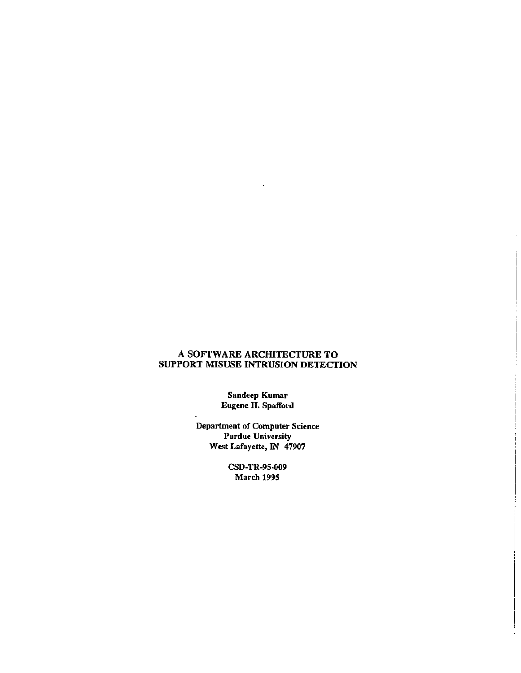### A SOFfWARE ARCHITECTURE TO SUPPORT MISUSE INTRUSION DETECTION

**Sandeep Kumar Eugene H. Spafford**

**Department of Computet Science Purdue University West Lafayette, IN** *47907*

> **CSD·TR-9S-009 March 1995**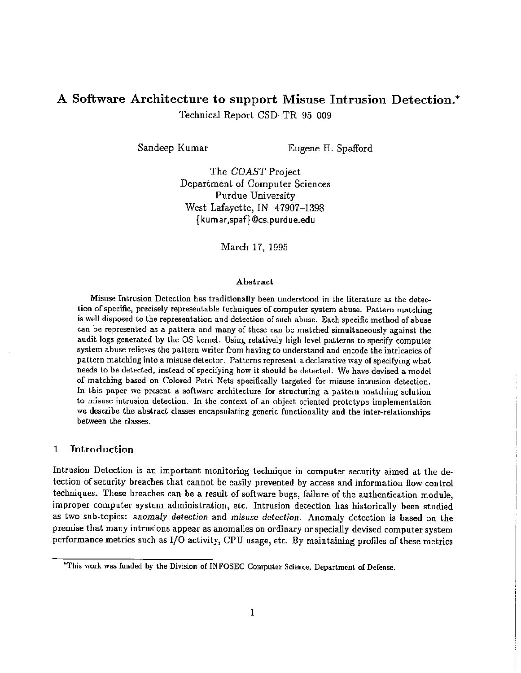## A Software Architecture to support Misuse Intrusion Detection.\* Technical Report CSD-TR-95-009

Sandeep Kumar Eugene H. Spafford

The *COAST* Project Department of Computer Sciences Purdue University West Lafayette, IN 47907-1398 {kumar,spaf}@cs.purdue.edu

March 17, 1995

#### Abstract

Misuse Intrusion Detecl.ion has traditionally been understood in the literature as the detection of specific, precisely representable techniques of computer system abuse. Pattern matching is well disposed to the representation and detection of such abuse. Each specific method of abuse can be represented as a pattern and many of these can be matched simultaneously against the audit logs generated by the OS kernel. Using relatively high level patterns to specify computer system abuse relieves the pattern writer from having to understand and encode the intricacies of pattern matching into a misuse detector. Patterns represent a declarative way of specifying what needs Lo be detected, instead of specifying how it should be detected. We have devised a model of matching based on Colored Petri Nets specifically targeted for misuse intrusion detection. In this paper we present a software architecture for structuring a pattern matching solution to misuse intrusion detection. In the context of an object oriented prototype implementation we describe the abstract classes encapsulating generic functionality and the inter-relationships between the classes.

#### 1 Introduction

Intrusion Detection is an important monitoring technique in computer security aimed at the detection of security breaches that cannot be easily prevented by access and information flow control techniques. These breaches can be a result of software bugs, failure of the authentication module, improper computer system administration, etc. Intrusion detection has historically been studied as two SUb-topics: *anomaly detection* and misuse *detection.* Anomaly detection is based on the premise that many intrusions appear as anomalies on ordinary or specially devised computer system performance metrics such as 1/0 activity, CPU usage, etc. By maintaining profiles of these metrics

<sup>&</sup>quot;This work was funded by the Division of IN FQSEC Computer Science, Department of Defense.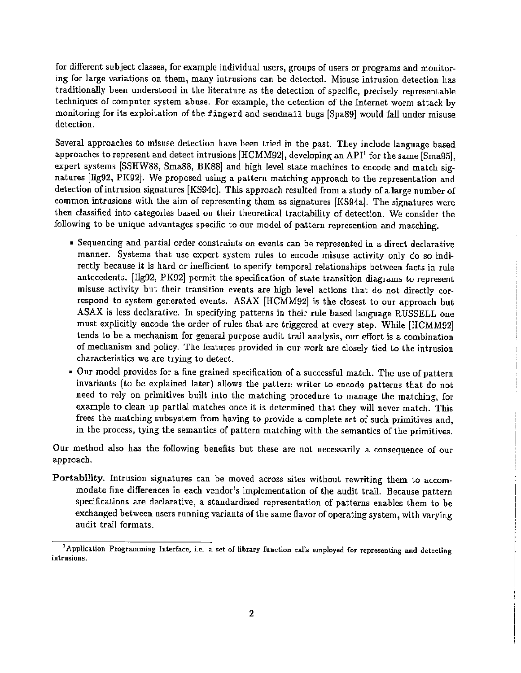for different subject classes, for example individual users, groups of users or programs and monitoring for large variations on them, many intrusions can be detected. Misuse intrusion detection has traditionally been understood in the literature as the detection of specific, precisely representable techniques of computer system abuse. For example, the detection of the Internet worm attack by monitoring for its exploitation of the fingerd and sendmail bugs [Spa89] would fall under misuse detection.

Several approaches to misuse detection have been Lried in the past. They include language based approaches to represent and detect intrusions  $[HCMM92]$ , developing an API<sup>1</sup> for the same [Sma95], expert systems [SSHW88, Sma88, BK88] and high level state machines to encode and match signatures [llg92, PK92]. We proposed using a pattern matching approach to the representation and detection ofintrusion signatures [KS94c]. This approach resulted from a study of a large number of common intrusions with the aim of representing them as signatures [KS94a]. The signatures were then classified into categories based on their theoretical tractability of detection. We consider the following to be unique advantages specific to our model of pattern represention and matching.

- Sequencing and partiaJ order constraints on events can be represented in a direct declarative manner. Systems that use expert system rules to encode misuse activity only do so indirectly because it is hard or inefficient to specify temporal relationships between facts in rule antecedents. [llg92, PK92] permit the specification of state transition diagrams to represent misuse activity but their transition events are high level actions that do not directly correspond to system generated events. ASAX [HCMM92] is the closest to our approach but ASAX is less declarative. In specifying patterns in their rule based language RUSSELL one must explicitly encode the order of rules that are triggered at every step. While [HCMM92] tends to be a mechanism for general purpose audit trail analysis, our effort is a combination of mechanism and policy. The features provided in our work are closely tied to the intrusion characteristics we are trying to detect.
- Our model provides for a fine grained specification of a successful match. The use of pattern invariants (to be explained later) allows the pattern writer to encode patterns that do not need to rely on primitives built into the matching procedure to manage the matching, for example to clean up partial matches once it is determined that they will never match. This frees the matching subsystem from having to provide a complete set of such primitives and, in the process, tying the semantics of pattern matching with the semantics of the primitives.

Our method also has the following benefits but these are not necessarily a consequence of our approach.

Portability. Intrusion signatures can be moved across sites without rewriting them to accom· modate fine differences in each vendor's implementation of the audit trall. Because pattern specifications are declarative, a standardized representation of patterns enables them to be exchanged between users running variants of the same flavor of operating system, with varying audit trail formats.

<sup>&</sup>lt;sup>1</sup> Application Programming Interface, i.e. a set of library function calls employed for representing and detecting intrusions.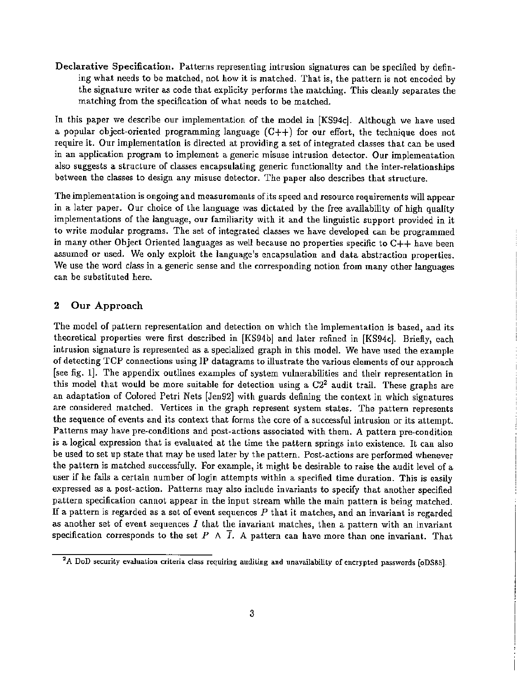Declarative Specification. Patterns representing intrusion signatures can be specified by defining what needs to be matched, not how it is matched. That is, the pattern is not encoded by the signature writer as code that explicity performs the matching. This cleanly separates the matching from the specification of what needs to be matched.

In this paper we describe our implementation of the model in [KS94c]. Although we have used a popular object-oriented programming language  $(C++)$  for our effort, the technique does not require it. Our implementation is directed at providing a set of integrated classes that can be used in an application program to implement a generic misuse intrusion detector. Our implementation also suggests a structure of classes encapsulating generic functionality and the inter-relationships between the classes to design any misuse detector. The paper also describes that structure.

The implementation is ongoing and measurements ofits speed and resource requirements will appear in a later paper. Our choice of the language was dictated by the free availability of high quality implementations of the language, our familiarity with it and the linguistic support provided in it to write modular programs. The set of integrated classes we have developed can be programmed in many other Object Oriented languages as well because no properties specific to C++ have been assumed or used. We only exploit the language's encapsulation and data abstraction properties. We use the word *class* in a generic sense and the corresponding notion from many other languages can be substituted here.

#### 2 Our Approach

The model of pattern representation and detection on which the implementation is based, and its theoretical properties were first described in [KS94b] and later refined in [KS94c]. Briefly, each intrusion signature is represented as a specialized graph in this model. We have used the example of detecting TCP connections using IP datagrams to illustrate the various elements of our approach [see fig. 1]. The appendix outlines examples of system vulnerabilities and their representation in this model that would be more suitable for detection using a  $C2<sup>2</sup>$  audit trail. These graphs are an adaptation of Colored Petri Nets [Jen92] with guards defining the context in which signatures are considered matched. Vertices in the graph represent system states. The pattern represents the sequence of events and its context that forms the core of a successful intrusion or its attempt. Patterns may have pre-conditions and post-actions associated with them. A pattern pre-condition is a logical expression that is evaluated at the time the pattern springs into existence. It can also be used to set up state that may be used later by the pattern. Post-actions are performed whenever the pattern is matched successfully. For example, it might be desirable to raise the audit level of a user if he fails a certain number of login attempts within a specified time duration. This is easily expressed as a post-action. Patterns may also include invariants to specify that another specified pattern specification cannot appear in the input stream while the main pattern is being matched. If a pattern is regarded as a set of event sequences *P* that it matches, and an invariant is regarded as another set of event sequences  $I$  that the invariant matches, then a pattern with an invariant specification corresponds to the set P  $\land$   $\overline{I}$ . A pattern can have more than one invariant. That

<sup>&</sup>lt;sup>2</sup>A DoD security evaluation criteria class requiring auditing and unavailability of encrypted passwords [oDS85].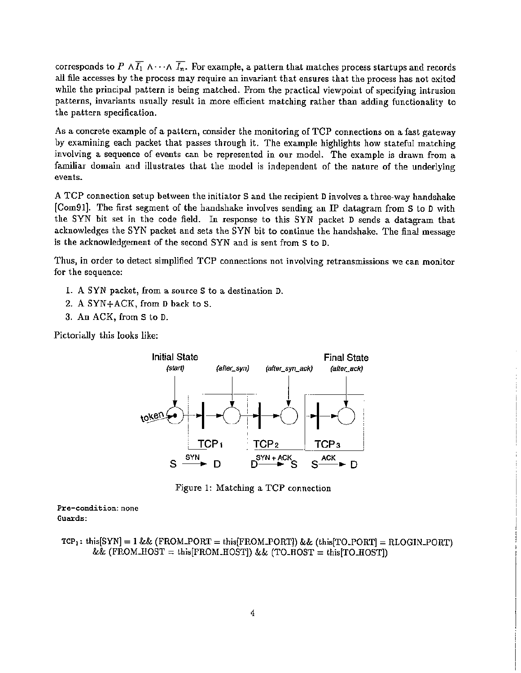corresponds to  $P \wedge \overline{I_1} \wedge \cdots \wedge \overline{I_n}$ . For example, a pattern that matches process startups and records all file accesses by the process may require an invariant that ensures that the process has not exited while the principal pattern is being matched. From the practical viewpoint of specifying intrusion patterns, invariants usually result in more efficient matching rather than adding functionality to the pattern specification.

As a concrete example of a pattern, consider the monitoring of TCP connections on a fast gateway by examining each packet that passes through it. The example highlights how stateful matching involving a sequence of events can be represented in our model. The example is drawn from a familiar domain and illustrates that the model is independent of the nature of the underlying events.

A TCP connection setup between the initiator S and the recipient Dinvolves a three-way handshake [Com91]. The first segment of the handshake involves sending an IP datagram from S to D with the SYN bit set in the code field. In response to this SYN packet D sends a datagram that acknowledges the SYN packet and sets the SYN bit to continue the handshake. The final message is the acknowledgement of the second SYN and is sent from S to D.

Thus, in order to detect simplified TCP connections not involving retransmissions we can monitor for the sequence:

- 1. A SYN packet, from a source S to a destination D.
- 2. A SYN+ACK, from D back to S.
- 3. An ACK, from S to D.

Pictorially this looks like:



Figure 1: Matching a TCP connection

Pre-condition: none Guards:

Tep" thi,[SYN] = 1&& (FROMYORT = thi,[FROMYORTJ) && (thi,[TO.PORT] = RLOGINYORT) && (FROM.l10ST =thi,[FROM.HOSTJ) && (TO.HOST =thi,[T0.l10STJ)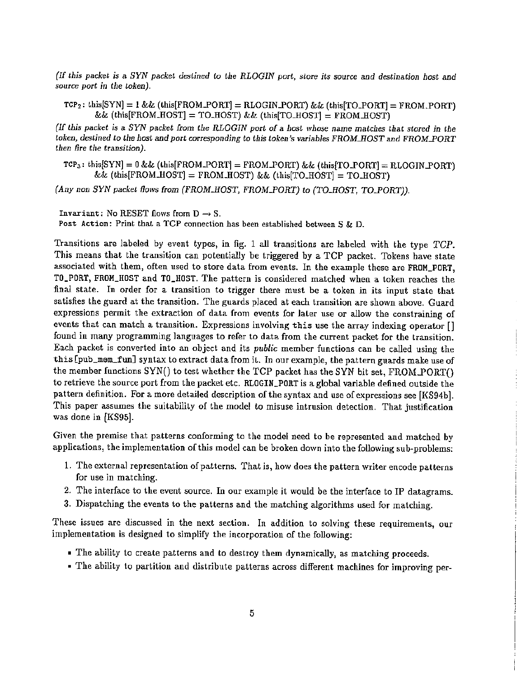(If this packet is a SYN packet destined to the RLOGIN port, store its source and destination host and *source* port in the token).

 $TCP_2: this [SYN] = 1 \&\& (this [FROM.PORT] = RLOGIN.PORT) \&\& (this [TO.PORT] = FROM.PORT)$  $&\&$  (this[FROM\_HOST] = TO\_HOST)  $&\&$  (this[TO\_HOST] = FROM\_HOST)

(If *this packet* is a *SYN packet [rom the RLOGIN port* of a *host whose* name *matches that stored in the token, destined to the host and port corresponding to this <i>token's variables FROM\_HOST* and *FROM\_PORT then lire the transition).*

 $TCP_3$ : this $[SYN] = 0$  && (this[FROM\_PORT] = FROM\_PORT) && (this[TO\_PORT] = RLOGIN\_PORT)  $\&\&$  (this[FROM\_HOST] = FROM\_HOST)  $\&\&$  (this[TO\_HOST] = TO\_HOST)

*(Any* non SYN packet flows from *(FROM\_HOST, FROM\_PORT)* to *(TO\_HOST, TO\_PORT))*.

Invariant: No RESET flows from  $D \rightarrow S$ . Post Action: Print that a TCP connection has been established between S & D.

Transitions are labeled by event types, in fig. 1 all transitions are labeled with the type TCP. This means that the transition can potentially be triggered by a TCP packet. Tokens have state associated with them, often used to store data from events. In the example these are FROM\_PORT, TO\_PORT, FROM\_HOST and TO\_HOST. The pattern is considered matched when a token reaches the final state. In order for a transition to trigger there must be a token in its input state that satisfies the guard at the transition. The guards placed at each transition are shown above. Guard expressions permit the extraction of data from events for later use or allow the constraining of events that can match a transition. Expressions involving this use the array indexing operator [] found in many programming languages to refer to data from the current packet for the transition. Each packet is converted into an object and its *public* member functions can be called using the this[pub\_mam\_fun] syntax to extract data from it. In our example, the pattern guards make use of the member functions SYN() to test whether the TCP packet has the SYN bit set, FROM\_PORT() to retrieve the source port from the packet etc. RLOGIN\_PORT is a global variable defined outside the pattern definition. For a more detailed description of the syntax and use of expressions see [KS94b]. This paper assumes the suitability of the model to misuse intrusion detection. That justification was done in [KS95].

Given the premise that patterns conforming to the model need to be represented and matched by applications, the implementation of this model can be broken down into the following sub-problems:

- 1. The external representation of patterns. That is, how does the pattern writer encode patterns for use in matching.
- 2. The interface to the event source. In our example it would be the interface to IP datagrams.
- 3. Dispatching the events to the patterns and the matching algorithms used for matching.

These issues are discussed in the next section. In addition to solving these requirements, our implementation is designed to simplify the incorporation of the following:

- The ability to create patterns and to destroy them dynamically, as matching proceeds.
- The ability to partition and distribute patterns across different machines for improving per-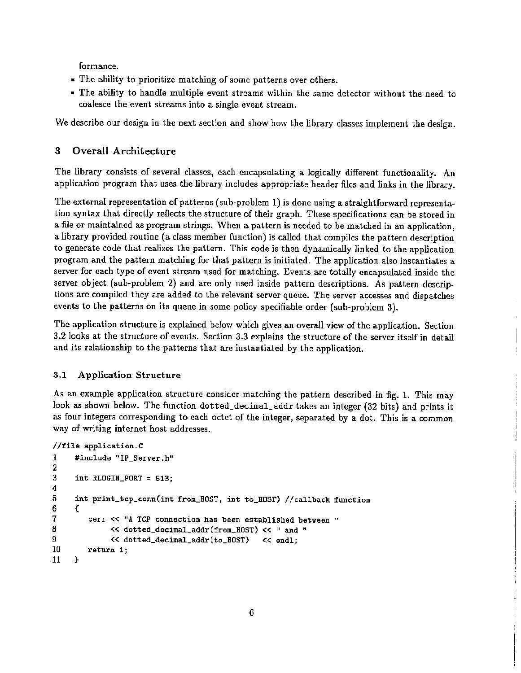formance.

- The ability to prioritize matching of some patterns over others.
- The ability to handle multiple event streams within the same detector without the need to coalesce the event streams into a single event stream.

We describe our design in the next section and show how the library classes implement the design.

## 3 Overall Architecture

The library consists of several classes, each encapsulating a logically different functionality. An application program that uses the library includes appropriate header files and links in the library.

The external representation of patterns (sub-problem 1) is done using a straightforward representation syntax that directly reflects the structure of their graph. These specifications can be stored in a file or maintained as program strings. When a pattern is needed to be matched in an application. a library provided routine (a class member function) is called that compiles the pattern description to generate code that realizes the pattern. This code is then dynamically linked to the application program and the pattern matching for that pattern is initiated. The application also instantiates a server for each type of event stream used for matching. Events are totally encapsulated inside the server object (sub-problem 2) and are only used inside pattern descriptions. As pattern descriptions are compiled they are added *to* the relevant server queue. The server accesses and dispatches events to the patterns on its queue in some policy specifiable order (sub-problem 3).

The application structure is explained below which gives an overall view of the application. Section 3.2 looks at the structure of events. Section 3.3 explains the structure of the server itself in detail and its relationship to the patterns that are instantiated by the application.

ţ

## 3.1 Application Structure

As an example application structure consider matching the pattern described in fig. 1. This may look as shown below. The function dotted\_decimal\_addr takes an integer (32 bits) and prints it as four integers corresponding to each octet of the integer, separated by a dot. This is a common way of writing internet host addresses.

```
cerr << "A TCP connection has been established between "
             << dotted_decimal_addr(from_HOST) << " and "
             «dotted_decimal_addr(to_HOST) «endl;
       return 1;
     int RLOGIN_PORT = 513;
     int print_tcp_conn(int from_HOST,
int to_HOST) //callback function
     {
//file application.C
1 #include "IP_Server.h"
2
3
4
5
6
7
8
9
10
11 }
```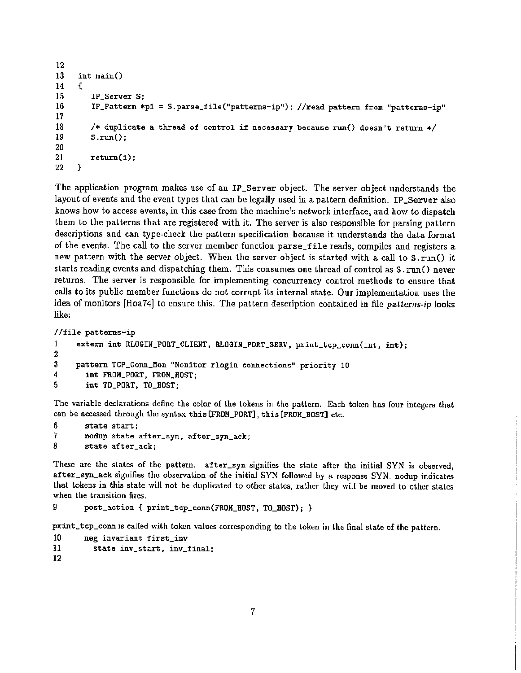```
\frac{12}{13}int main()<br>{
14 {
15 IP_Server S;<br>16 IP_Pattern *
          IPPattern *p1 = S.parse_file("patterns-ip"); //read pattern from "patterns-ip"
\frac{17}{18}18 /* duplicate a thread of control if necessary because run() doesn't return */<br>19 5.run():
          5.\text{run}():
\frac{20}{21}return(1);}
22 }
```
The application program makes use of an IP\_Server object. The server object understands the layout of events and the event types that can be legally used in a pattern definition. IP\_Server also knows how to access events, in this case from the machine's network interface, and how to dispatch them to the patterns that are registered with it. The server is also responsible for parsing pattern descriptions and can type-check the pattern specification because it understands the data format of the events. The call to the server member function parse\_file reads, compiles and registers a new pattern with the server object. When the server object is started with a call to  $S.\text{run}()$  it starts reading events and dispatching them. This consumes one thread of control as S.run() never returns. The server is responsible for implementing concurrency control methods to ensure that calls to its public member functions do not corrupt its internal state. Our implementation uses the idea of monitors [Hoa74J to ensure this. The pattern description contained in fIle *patterns-ip* looks like:

```
//file patterns-ip
1 extern int RLOGIN_PORT_CLIENT, RLOGIN_PORT_SERV, print_tcp_conn(int, int);
\frac{2}{3}3 pattern TCP_Conn_Mon "Monitor rlogin connections" priority 10
4 int FROM_PORT, FROM_HOST;<br>5 int TO PORT, TO HOST:
        5 int TO_PORT, TO_HOST;
```
The variable declarations define the color of the tokens in the pattern. Each token has four integers that can be accessed through the syntax this [FROM\_PORT], this[FROM\_HOST] etc.

```
6 state start;<br>7 nodup state
7 nodup state after_syn, after_syn_ack;<br>8 state after ack:
         state after_ack;
```
These are the stales of the pattern. after\_syn signifies the state after the initial SYN is observed, after\_syn\_ack signifies the observation of the initial SYN followed by a response SYN. nodup indicates that tokens in this state will not be duplicated to other states, rather they will be moved to other stales when the transition fires.

```
9 post_action { print_tcp_conn(FROK_HOST, TO_HOST); }
```
print\_tcp\_conn is called with token values corresponding to the token in the final state of the pattern.

```
10 neg invariant first_inv
```

```
11 state inv_start, inv_final;
```

```
12
```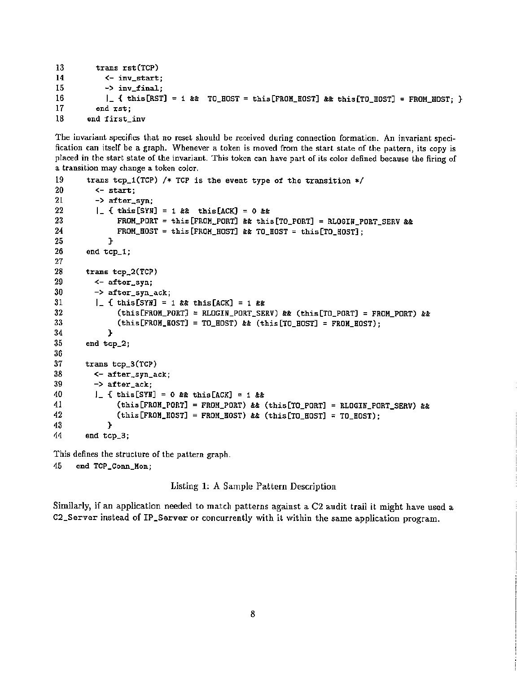```
13 trans rst(TCP)<br>14 <- inv_start
14 <- inv_start;
15 \rightarrow \text{inv\_final};<br>16 \qquad \qquad \qquad \qquad \qquad \qquad \qquad \qquad \qquad \qquad \qquad \qquad \qquad \qquad \qquad \qquad \qquad \qquad \qquad \qquad \qquad \qquad \qquad \qquad \qquad \qquad \qquad \qquad \qquad \qquad \qquad \qquad \qquad16 \vert \vert { this[RST] = 1 & TO_HOST = this[FROM_HOST] & this[TO_HOST] = FROM_HOST; }<br>17 and rst:
17 end rst;<br>18 end first
                 end first_inv
```
The invariant specifics that no reset should be received during connection formation. An invariant specification can itself be a graph. Whenever a token is moved from the start state of the pattern, its copy is placed in the start state of the invariant. This token can have part of its color defined because the firing of a transition may change a token color.

```
19 trans tcp_1(TCP) /* TCP is the event type of the transition */ 20 <- start:
20 <- start;<br>21 -> after
21 -> after_syn;<br>22 | { this SYN
= 0 tt
22 1_ { this [SYH] = 1 tt this[ACK]
The this state this conductions of the conduction of the conduction of the conduction of the conduction of the conduction 23 FROM_PORT = this [FROM_PORT] && this [TO_PORT] = RLOGIN_PORT_SERV &&
tte Tour Countries and the Countries of the Countries of the Countries of the Countries of the Countries of the Tro Host of Tro Host of the Countries of the Countries of the Countries of the Countries of the Countries of t
25 \phantom{000} \phantom{000} \phantom{000} \phantom{000} \phantom{000} \phantom{000} \phantom{000} \phantom{000} \phantom{000}end tcp_1;
27
28
          trans tcp_2(TCP)
29
             <- after_syn;
30
             -> after_syn_ack;
31
             1_ { this[SYH] = 1 tt this[ACK] = 1 tt
32
                     (this[FROM_PORT] = RLOGIN_PORT_SERV) & tthis[TO_PORT] = FROM_PORT) \&33
                     (this[FROM_BOST] = TO_BOST) & (this[TO_BOST] = FROM_BOST);
                  }
34
35
          end tcp_2;
3G
37
          trans tcp_3(TCP)
38
             <- after_syn_ack;
39
             -> after_ack;
40
             J_{-} { this [SYN] = 0 && this [ACK] = 1 &&
                      (this[FROM_PORT] = FROM_PORT) && (this[TO_PORT] = RLOGIN_PORT_SERV) &&
41
                      (this [FROM_HOST] = FROM_HOST) && (this [TO_HOST] = TO_HOST);
42
                  P.
43
14
          end tcp_3;
```
This defines the structure of the pattern graph.

45 end TCP\_Conn\_Mon;

Listing 1: A Sample Pattern Description

Similarly, if an application needed to match patterns against a C2 audit trail it might have used a C2\_Server instead of IP\_Server or concurrently with *it* within the same application program.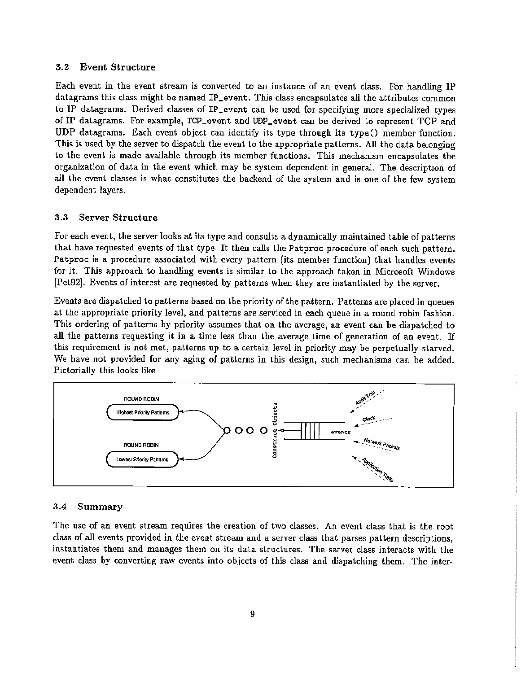#### 3.2 Event Structure

Each event in the event stream is converted to an instance of an event class. For handling IP datagrams this class might be named IP\_event. This class encapsulates all the attributes common to IP datagrams. Derived classes of IP\_event can be used for specifying more specialized types of IP datagrams. For example, TCP\_event and UDP\_event can be derived to represent TCP and UDP datagrams. Each event object can identify its type through its type() member function. This is used by the server to dispatch the event to the appropriate patterns. All the data belonging to the event is made available through its member functions. This mechanism encapsulates the organization of data in the event which may he system dependent in general. The description of all the event classes is what constitutes the backend of the system and is one of the few system dependent layers.

#### 3.3 Server Structure

For each event, the server looks at its type and consults a dynamically maintained table of patterns that have requested events of that type. It then calls the Patproc procedure of each such pattern. Patproc is a procedure associated with every pattern (its member function) that handles events for it. This approach to handling events is similar to the approach taken in Microsoft Windows [Pet92]. Events of interest are requested by patterns when they are instantiated by the server.

Events are dispatched to patterns based on the priority of the pattern. Patterns are placed in queues at the appropriate priority level, and patterns are serviced in each queue in a round robin fashion. This ordering of patterns by priority assumes that on the average, an event can be dispatched to all the patterns requesting it in a *time* less than the average time of generation of an event. If this requirement is not met, patterns up to a certain level in priority may be perpetually starved. We have not provided for any aging of patterns in this design, such mechanisms can be added. Pictorially this looks like



#### 3.4 Summary

The use of an event stream requires the creation of two classes. An event class that is the root class of all events provided in the event stream and a server class that parses pattern descriptions, instantiates them and manages them on its data structures. The server class interacts with the event class by converting raw events into objects of this class and dispatching them. The inter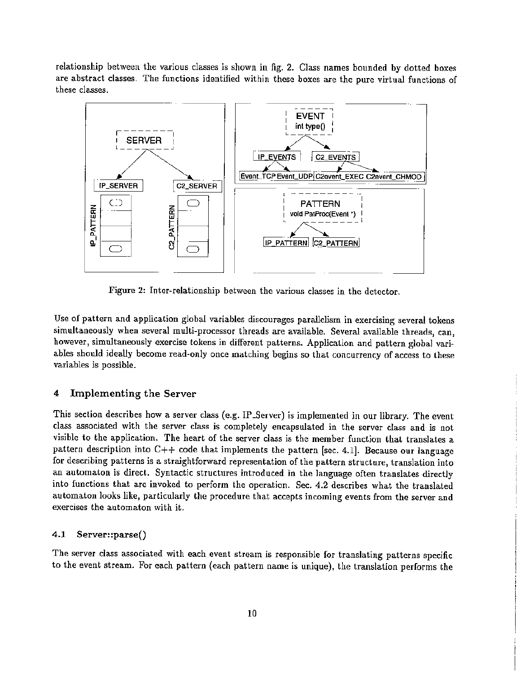relationship between the various classes is shown in fig. 2. Class names bounded by dotted boxes are abstract classes. The functions identified within these boxes are the pure virtual functions of these classes.



Figure 2: Inter-relationship between the various classes in the detector.

Use of pattern and application global variables discourages parallelism in exercising several tokens simultaneously when several multi-processor threads are available. Several available threads, can, however, simultaneously exercise tokens in different patterns. Application and pattern global variabIes should ideally become read-only once matching begins so that concurrency of access to these variables is possible.

#### 4 Implementing the Server

This section describes how a server class (e.g. IP\_Server) is implemented in our library. The event class associated with the server class is completely encapsulated in the server class and is not visible to the application. The heart of the server class is the member function that translates a pattern description into  $C++$  code that implements the pattern [sec. 4.1]. Because our language for describing patterns is a straightforward representation of the pattern structure, translation into an automaton is direct. Syntactic structures introduced in the language often translates directly into functions that are invoked to perform the operation. Sec. 4.2 describes what the translated automaton looks like, particularly the procedure that accepts incoming events from the server and exercises the automaton with it.

#### 4.1 Server::parse()

The server class associated with each event stream is responsible for translating patterns specific to the event stream. For each pattern (each pattern name is unique), the translation performs the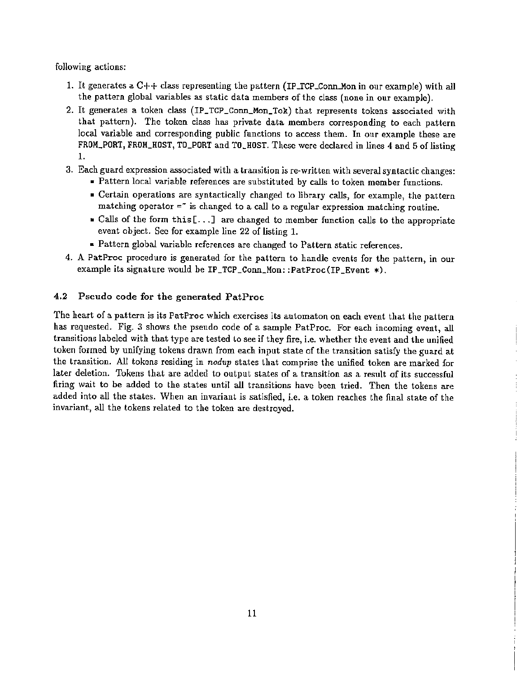following actions:

- 1. It generates a  $C++$  class representing the pattern (IP\_TCP\_Conn\_Mon in our example) with all the pattern global variables as static data members of the class (none in our example).
- 2. It generates a token class (IP\_TCP\_Conn\_Mon\_Tok) that represents tokens associated with that pattern). The token class has private data members corresponding to each pattern local variable and corresponding public functions to access them. In our example these are FROM\_PORT, FROM\_HOST, TO\_PORT and TO\_HOST. These were declared in lines 4 and 5 of listing 1.
- 3. Each guard expression associated with a transition is re-written with severalsyntactic changes:
	- Pattern local variable references are substituted by calls to token member functions.
	- Certain operations are syntactically changed to library calls, for example, the pattern matching operator  $=$  is changed to a call to a regular expression matching routine.
	- Calls of the form this  $[...]$  are changed to member function calls to the appropriate event object. Sec for example line 22 of listing 1.
	- Pattern global variable references are changed to Pattern static references.
- 4. A PatProc procedure is generated for the pattern to handle events for the pattern, in our example its signature would be IP\_TCP\_Conn\_Mon: :PatProc(IP\_Event \*).

### 4.2 Pseudo code for the generated PatProc

The heart of a pattern is its PatProc which exercises its automaton on each event that the pattern has requested. Fig. 3 shows the pseudo code of a sample PatProc. For each incoming event, all transitions labeled with that type are tested to see if they fire, i.e. whether the event and the unified token formed by unifying tokens drawn from each input state of the transition satisfy the guard at the transition. All tokens residing in *nodup* states that comprise the unified token are marked for later deletion. Tokens that are added to output states of a transition as a result of its successful firing wait to be added to the states until all transitions have been tried. Then the tokens are added into all the states. When an invariant is satisfied, i.e. a token reaches the final state of the invariant, all the tokens related to the token are destroyed.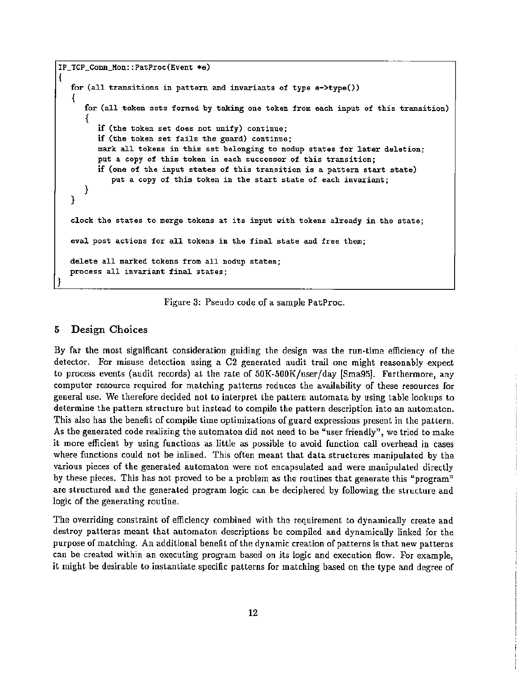```
IP_TCP_CoDn_Hon: :PatProc(Event *e)
{
  for (all transitions in pattern and invariants of type e->type())
   {
      for (all token sets formed by taking one token from each input of this transition)
      \overline{A}if (the token set does not unify) continue;
         if (the token set fails the guard) continue;
         mark all tokens in this set belonging to nodup states for later deletion;
         put a copy of this token in each successor of this transition;
         if (one of the input states of this transition is a pattern start state)
            put a copy of this token in the start state of each invariant;
     }
  }
  clock the states to merge tokens at its input with tokens already in the state;
  eval post actions for all tokens in the final state and free them;
  delete all marked tokens from all nodup states;
  process all invariant final states;
)
```
Figure 3: Pseudo code of a sample PatProc.

#### 5 Design Choices

By far the most significant consideration guiding the design was the run-time efficiency of the detector. For misuse detection using a C2 generated audit trail one might reasonably expect to process events (audit records) at the rate of  $50K-500K/\text{user/day}$  [Sma95]. Furthermore, any computer resource required for matching patterns reduces the availability of these resources for general use. We therefore decided not to interpret the pattern automata by using table lookups to determine the pattern structure but instead to compile the pattern description into an automaton. This also has the benefit of compile time optimizations of guard expressions present in the pattern. As the generated code realizing the automaton did not need to be "user friendly", we tried to make it more efficient by using functions as little as possible to avoid function call overhead in cases where functions could not be inllned. This often meant that data structures manipulated by the various pieces of the generated automaton were not encapsulated and were manipulated directly by these pieces. This has not proved to be a problem as the routines that generate this "program" are structured and the generated program logic can be deciphered by following the structure and logic of the generating routine.

The overriding constraint of efficiency combined with the requirement to dynamically create and destroy patterns meant that automaton descriptions be compiled and dynamically linked for the purpose of matching. An additional benefit of the dynamic creation of patterns is that new patterns can be created within an executing program based on its logic and execution flow. For example, it might be desirable to instantiate specific patterns for matching based on the type and degree of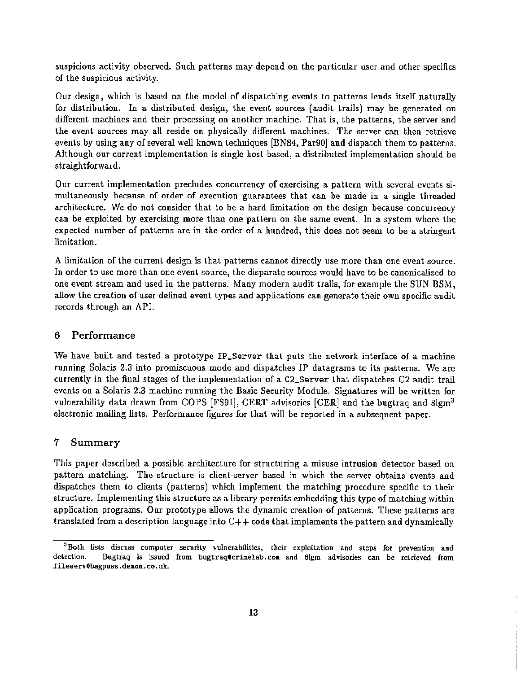suspicious activity observed. Such patterns may depend on the particular user and other specifics of the suspicious activity.

Our design, which is based on the model of dispatching events to patterns lends itself naturally for distribution. In a distributed design, the event sources (audit trails) may be generated on different machines and their processing on another machine. That is, the patterns, the server and the event sources may all reside on physically different machines. The server can then retrieve events by using any of several well known techniques [BN84, PargO] aud dispatch them to patterns. Although our current implementation is single host based, a distributed implementation should be straightforward.

Our current implementation precludes concurrency of exercising a pattern with several events simultaneously because of order of execution guarantees that can be made in a single threaded architecture. We do not consider that to be a hard limitation on the design because concurrency can be exploited by exercising more than one pattern on the same event. In a system where the expected number of patterns are in the order of a hundred, this does not seem to be a stringent limitation.

A limitation of the current design is that patterns cannot directly use more than one event source. In order to use more than one event source, the disparate sources would have to be canonicalized to one event stream and used in the patterns. Many modern audit trails, for example the SUN BSM, allow the creation of user defined event types and applications can generate their own specific audit records through an API.

#### 6 Performance

We have built and tested a prototype IP\_Server that puts the network interface of a machine running Solaris 2.3 into promiscuous mode and dispatches IP datagrams to its patterns. We are currently in the final stages of the implementation of a C2\_Server that dispatches C2 audit trail events on a Solaris 2.3 machine running the Basic Security Module. Signatures will be written for vulnerability data drawn from COPS [FS91], CERT advisories [CER] and the bugtraq and 8lgm<sup>3</sup> electronic mailing lists. Performance figures for that will be reported in a subsequent paper.

#### 7 Summary

This paper described a possible architecture for structuring a misuse intrusion detector based on pattern matching. The structure is client-server based in which the server obtains events and dispatches them to clients (patterns) which implement the matching procedure specific to their structure. Implementing this structure as a library permits embedding this type of matching within application programs. Our prototype allows the dynamic creation of patterns. These patterns are translated from a description language into  $C++$  code that implements the pattern and dynamically

<sup>&</sup>lt;sup>3</sup>Both lists discuss computer security vulnerabilities, their exploitation and steps for prevention and detection. Bugtraq is issued from bugtraq@crimelab.com and 81gm advisories can be retrieved from fileservObagpuss .demon. co. uk.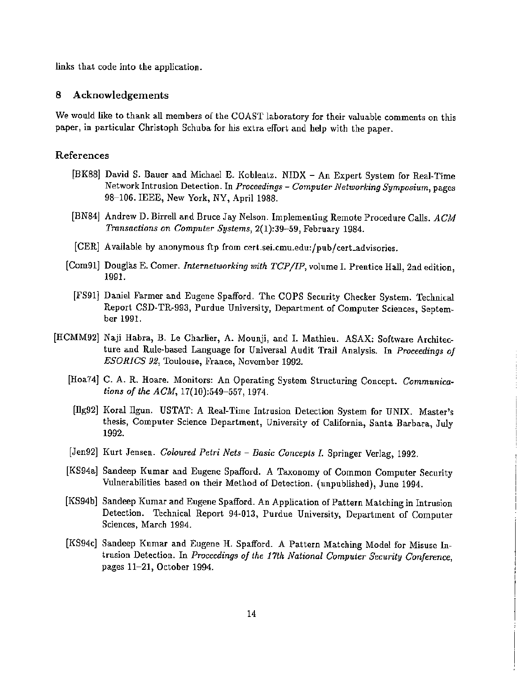links that code into the application.

#### 8 Acknowledgements

We would like to thank all members of the COAST laboratory for their valuable comments on this paper, in particular Christoph Schuba for his extra effort and help with the paper.

#### References

- [BK8S] David S. Dauer and Michael E. Koblentz. NIDX An Expert System for Real-Time Network Intrusion Detection. In *Proceedings* - *Computer Networking Symposium,* pages 98-106. IEEE, New York, NY, April 19S5.
- [BN84] Andrew D. Birrell and Bruce Jay Nelson. Implementing Remote Procedure Calls. ACM *Transactions on Computer Systems,* 2(1):39-59, February 1984.
- [CER] Available by anonymous ftp from cert.sei.cmu.edu:/pub/cert\_advisories.
- [Com91] Douglas E. Comer. *Internetworking with TCPlIP,* volume 1. Prentice Hall, 2nd edition, 1991.
	- [FS91J Daniel Farmer and Eugene Spafford. The COPS Security Checker System. Technical Report CSD-TR-993, Purdue University, Department of Computer Sciences, September 1991.
- [HCMM92] Naji Habra, B. Le Charlier, A. Mounji, and I. Mathieu. ASAX: Software Architecture and Rule-based Language for Universal Audit Trail Analysis. In *Proceedings of ESORICS* 92, Toulouse, France, November 1992.
	- [Hoa74J C. A. R. Hoare. Monitors: An Operating System Structuring Concept. *Communications of the ACM,* 17(10):549-557, 1974.
	- [llg92] Koralllgun. USTAT: A Real-Time Intrusion Detection System for UNIX. Master's thesis, Computer Science Department, University of California, Santa Barbara, July 1992.
	- [Jen92] Kurt Jensen. *Coloured Petri Nets Basic Concepts* 1. Springer Verlag, 1992.
	- [KS94a] Sandeep Kumar and Eugene Spafford. A Taxonomy of Common Computer Security Vulnerabilities based on their Method of Detection. (unpublished), June 1994.
	- [KS94b] Sandeep Kumar and Eugene Spafford. An Application of Pattern Matching in Intrusion Detection. Technical Report 94-013, Purdue University, Department of Computer Sciences, March 1994.
	- [KS94c] Sandeep Kumar and Eugene H. Spafford. A Pattern Matching Model for Misuse Intrusion Detection. In *Proceedings of the 11th National Computer Security Conference,* pages 11-21, October 1994.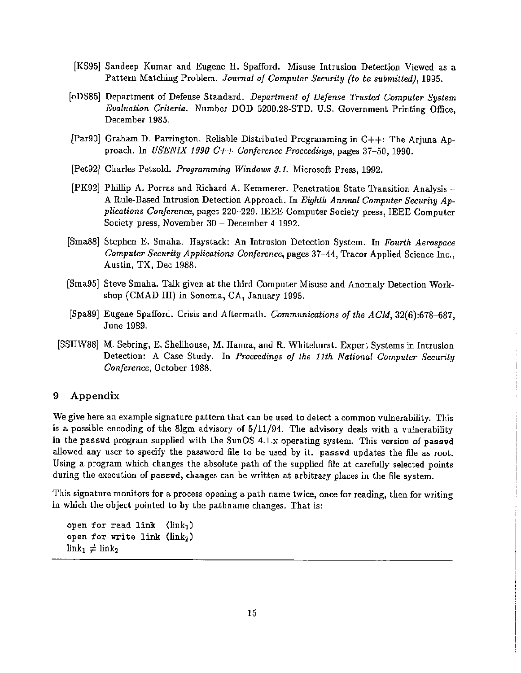- [KS95] Sandeep Kumar and Eugene H. Spafford. Misuse Intrusion Detection Viewed as a Pattern Matching Problem. *Joumal of Computer Security (to be submitted), 1995.*
- [oDS85] Department of Defense Standard. *Department of Defense Trusted Computer System Evaluation Criteria.* Number DOD 5200.28-STD. U.S. Government Printing Office, December 1985.
- [Par90] Graham D. Parrington. Reliable Distributed Programming in C++: The Arjuna Approach. In *USENIX 1990 C++ Conference Proceedings,* pages 37-50, 1990.
- [Pet92J Charles Petzold. *Programming Windows* 3.1. Microsoft Press, 1992.
- [PK92] Phillip A. Porras and Richard A. Kemmerer. Penetration State Transition Analysis A Rule-Based Intrusion Detection Approach. In *Eighth Annual Computer Security Applications Conference,* pages 220-229. IEEE Computer Society press, IEEE Computer Society press, November 30 - December 4 1992.
- [Sma88] Stephen E. Smaha. Haystack: An Intrusion Detection System. In *Fourth Aerospace Computer Security Applications Conference,* pages 37-44, Tracor Applied Science Inc., Austin, TX, Dec 1988.
- [Sma95J Steve Smaha. Talk given at the third Computer Misuse and Anomaly Detection Workshop (CMAD III) in Sonoma, CA, January 1995.
- [Spa89] Eugene Spafford. Crisis and Aftermath. *Communications of the ACM, 32(6):678-687,* June 1989.
- [SSHW88] M. Sebring, E. Shellhouse, M. Hanna, and R. Whitehurst. Expert Systems in Intrusion Detection: A Case Study. In *Proceedings of the 11th National Computer Security Conference,* October 1988.

Ť

#### 9 Appendix

We give here an example signature pattern that can be used to detect a common vulnerability. This is a possible encoding of the 8lgm advisory of 5/11/94. The advisory deals with a vulnerability in the passwd program supplied with the SunOS 4.1.x operating system. This version of passwd allowed any user to specify the password file to be used by it. passwd updates the file as root. Using a program which changes the absolute path of the supplied file at carefully selected points during the execution of passwd, changes can be written at arbitrary places in the file system.

This signature monitors for a process opening a path name twice, once for reading, then for writing in which the object pointed to by the pathname changes. That is:

```
open for read link (link_1)open for write link ({\rm link}_2)
\text{link}_1 \neq \text{link}_2
```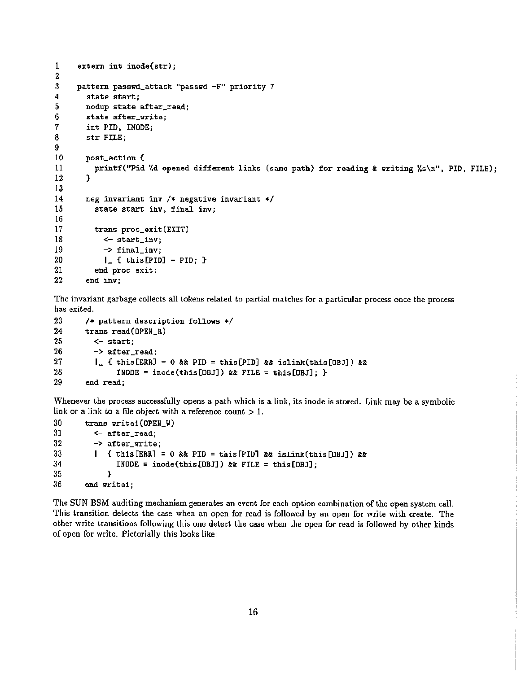```
1 extern int inode(str);
\frac{2}{3}3 pattern passwd_attack "passwd -F" priority 7<br>4 state start:
4 state start;<br>5 nodup state.
5 nodup state after_read;<br>6 state after_write:
6 state after_write;<br>7 int PID, INODE;
7 int PID, INODE;<br>8 str FILE:
          8 str FILE;
\frac{9}{10}10 post_action {<br>11 printf("Pid
          printf("Pid '/d opened different links (same path) for reading & uriting '/s\n", PID, FILE);<br>}
12 }
\frac{13}{14}14 neg invariant inv /* negative invariant */<br>15 state start inv. final inv:
             state start_inv, final_inv;
16
17 trans proc_exit(EXIT)<br>18 <- start_inv:
18 \leftarrow start\_inv;<br>19 \leftarrow \text{final inv}:
19 -> final_inv;<br>20 1 f this PID
20 \blacksquare \blacksquare { this [PID] = PID; }<br>21 end proc exit;
21 end proc_exit;<br>22 end inv:
          end inv;
```
Tne invariant garbage collects all tokens related to partial matches for a particular process once the process has exited.

```
23 /* pattern description follows */<br>24 trans read(OPEN R)
24 trans read(OPEN_R)<br>25 <- start:
25 \leftarrow start;<br>26 \rightarrow after
26 -> after_read;<br>27 1. { this[ERR]
27 1. { this [ERR] = 0 && PID = this [PID] && islink(this [OBJ]) &&<br>28 1NODE = inode(this [OBJ]) && FILE = this [OBJ]: }
28 INODE = inode(this[OBJ]) \hat{z}\hat{z} FILE = this[OBJ]; }<br>29 end read:
           end read;
```
Whenever the process successfully opens a path which is a link, its inode is stored. Link may be a symbolic link or a link to a file object with a reference count  $> 1$ .

```
30 trans write1(OPEN_W)
31 <- after_read;
32 \rightarrow after\_write;33 1 | { this [ERR] = 0 & & PID = this [PID] & & islink(this [OBJ]) & & 34 1 NODE = inode (this [OBJ]) & & FILE = this [OBJ];
               INODE = inode(this[OBJ]) && FILE = this[OBJ];<br>}
35 }
36 and vrite1;
```
The SUN BSM auditing mechanism generates an event for each option combination of the open system call. This transition detects the case when an open for read is followed by an open for write with create. The other write transitions following this one detect the case when the open for read is followed by other kinds of open for write. Pictorially this looks like: